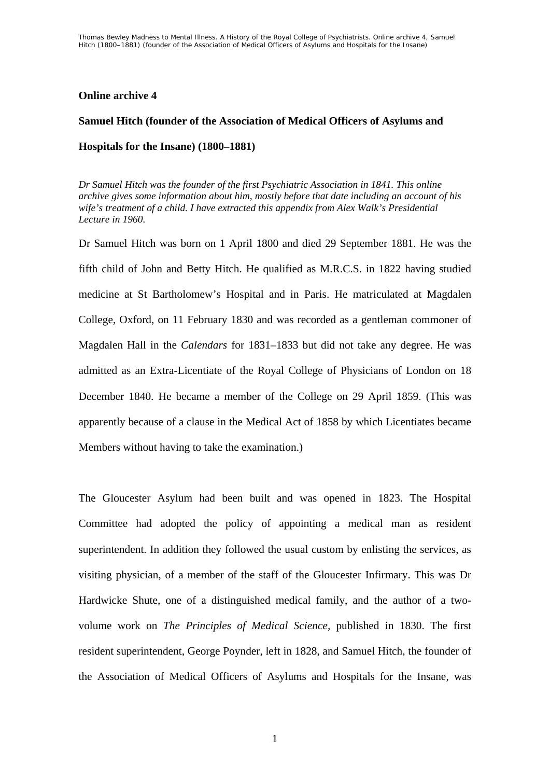## **Online archive 4**

## **Samuel Hitch (founder of the Association of Medical Officers of Asylums and Hospitals for the Insane) (1800–1881)**

*Dr Samuel Hitch was the founder of the first Psychiatric Association in 1841. This online archive gives some information about him, mostly before that date including an account of his wife's treatment of a child. I have extracted this appendix from Alex Walk's Presidential Lecture in 1960.* 

Dr Samuel Hitch was born on 1 April 1800 and died 29 September 1881. He was the fifth child of John and Betty Hitch. He qualified as M.R.C.S. in 1822 having studied medicine at St Bartholomew's Hospital and in Paris. He matriculated at Magdalen College, Oxford, on 11 February 1830 and was recorded as a gentleman commoner of Magdalen Hall in the *Calendars* for 1831–1833 but did not take any degree. He was admitted as an Extra-Licentiate of the Royal College of Physicians of London on 18 December 1840. He became a member of the College on 29 April 1859. (This was apparently because of a clause in the Medical Act of 1858 by which Licentiates became Members without having to take the examination.)

The Gloucester Asylum had been built and was opened in 1823. The Hospital Committee had adopted the policy of appointing a medical man as resident superintendent. In addition they followed the usual custom by enlisting the services, as visiting physician, of a member of the staff of the Gloucester Infirmary. This was Dr Hardwicke Shute, one of a distinguished medical family, and the author of a twovolume work on *The Principles of Medical Science,* published in 1830. The first resident superintendent, George Poynder, left in 1828, and Samuel Hitch, the founder of the Association of Medical Officers of Asylums and Hospitals for the Insane, was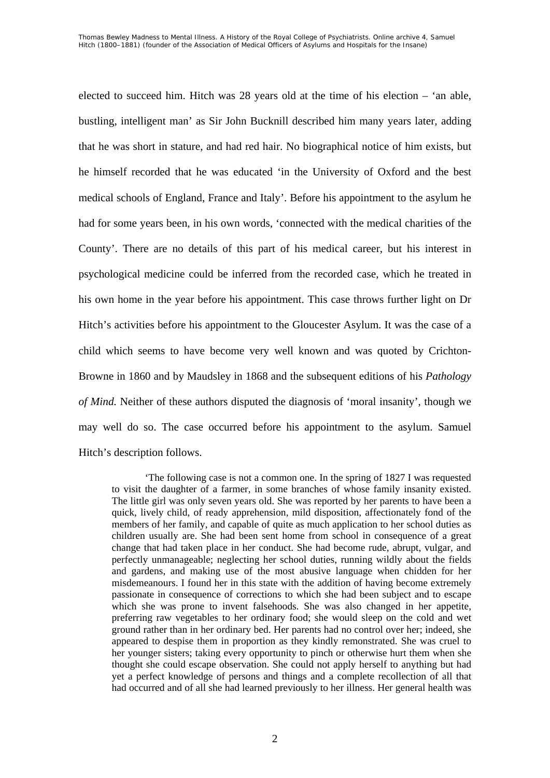elected to succeed him. Hitch was 28 years old at the time of his election – 'an able, bustling, intelligent man' as Sir John Bucknill described him many years later, adding that he was short in stature, and had red hair. No biographical notice of him exists, but he himself recorded that he was educated 'in the University of Oxford and the best medical schools of England, France and Italy'. Before his appointment to the asylum he had for some years been, in his own words, 'connected with the medical charities of the County'. There are no details of this part of his medical career, but his interest in psychological medicine could be inferred from the recorded case, which he treated in his own home in the year before his appointment. This case throws further light on Dr Hitch's activities before his appointment to the Gloucester Asylum. It was the case of a child which seems to have become very well known and was quoted by Crichton-Browne in 1860 and by Maudsley in 1868 and the subsequent editions of his *Pathology of Mind.* Neither of these authors disputed the diagnosis of 'moral insanity', though we may well do so. The case occurred before his appointment to the asylum. Samuel Hitch's description follows.

'The following case is not a common one. In the spring of 1827 I was requested to visit the daughter of a farmer, in some branches of whose family insanity existed. The little girl was only seven years old. She was reported by her parents to have been a quick, lively child, of ready apprehension, mild disposition, affectionately fond of the members of her family, and capable of quite as much application to her school duties as children usually are. She had been sent home from school in consequence of a great change that had taken place in her conduct. She had become rude, abrupt, vulgar, and perfectly unmanageable; neglecting her school duties, running wildly about the fields and gardens, and making use of the most abusive language when chidden for her misdemeanours. I found her in this state with the addition of having become extremely passionate in consequence of corrections to which she had been subject and to escape which she was prone to invent falsehoods. She was also changed in her appetite, preferring raw vegetables to her ordinary food; she would sleep on the cold and wet ground rather than in her ordinary bed. Her parents had no control over her; indeed, she appeared to despise them in proportion as they kindly remonstrated. She was cruel to her younger sisters; taking every opportunity to pinch or otherwise hurt them when she thought she could escape observation. She could not apply herself to anything but had yet a perfect knowledge of persons and things and a complete recollection of all that had occurred and of all she had learned previously to her illness. Her general health was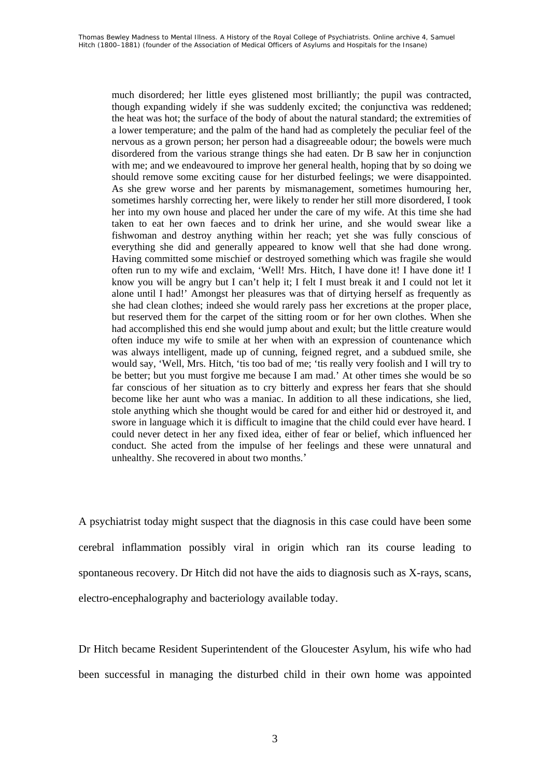much disordered; her little eyes glistened most brilliantly; the pupil was contracted, though expanding widely if she was suddenly excited; the conjunctiva was reddened; the heat was hot; the surface of the body of about the natural standard; the extremities of a lower temperature; and the palm of the hand had as completely the peculiar feel of the nervous as a grown person; her person had a disagreeable odour; the bowels were much disordered from the various strange things she had eaten. Dr B saw her in conjunction with me; and we endeavoured to improve her general health, hoping that by so doing we should remove some exciting cause for her disturbed feelings; we were disappointed. As she grew worse and her parents by mismanagement, sometimes humouring her, sometimes harshly correcting her, were likely to render her still more disordered, I took her into my own house and placed her under the care of my wife. At this time she had taken to eat her own faeces and to drink her urine, and she would swear like a fishwoman and destroy anything within her reach; yet she was fully conscious of everything she did and generally appeared to know well that she had done wrong. Having committed some mischief or destroyed something which was fragile she would often run to my wife and exclaim, 'Well! Mrs. Hitch, I have done it! I have done it! I know you will be angry but I can't help it; I felt I must break it and I could not let it alone until I had!' Amongst her pleasures was that of dirtying herself as frequently as she had clean clothes; indeed she would rarely pass her excretions at the proper place, but reserved them for the carpet of the sitting room or for her own clothes. When she had accomplished this end she would jump about and exult; but the little creature would often induce my wife to smile at her when with an expression of countenance which was always intelligent, made up of cunning, feigned regret, and a subdued smile, she would say, 'Well, Mrs. Hitch, 'tis too bad of me; 'tis really very foolish and I will try to be better; but you must forgive me because I am mad.' At other times she would be so far conscious of her situation as to cry bitterly and express her fears that she should become like her aunt who was a maniac. In addition to all these indications, she lied, stole anything which she thought would be cared for and either hid or destroyed it, and swore in language which it is difficult to imagine that the child could ever have heard. I could never detect in her any fixed idea, either of fear or belief, which influenced her conduct. She acted from the impulse of her feelings and these were unnatural and unhealthy. She recovered in about two months.'

A psychiatrist today might suspect that the diagnosis in this case could have been some cerebral inflammation possibly viral in origin which ran its course leading to spontaneous recovery. Dr Hitch did not have the aids to diagnosis such as X-rays, scans, electro-encephalography and bacteriology available today.

Dr Hitch became Resident Superintendent of the Gloucester Asylum, his wife who had been successful in managing the disturbed child in their own home was appointed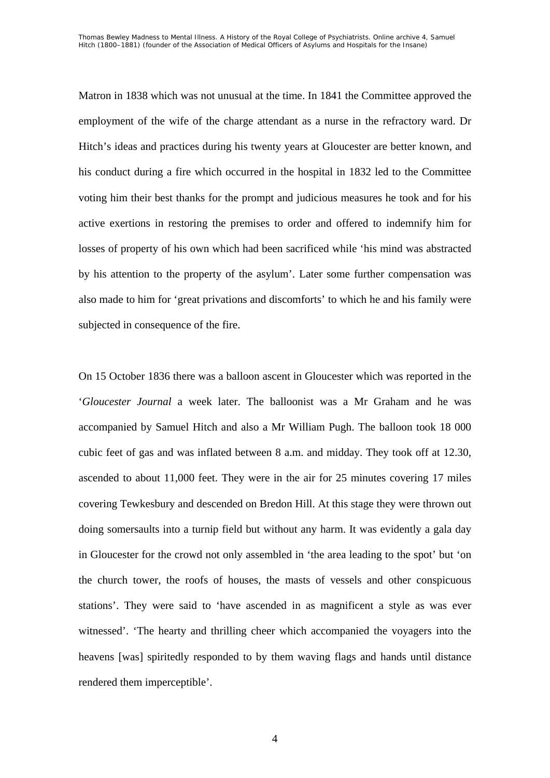Matron in 1838 which was not unusual at the time. In 1841 the Committee approved the employment of the wife of the charge attendant as a nurse in the refractory ward. Dr Hitch's ideas and practices during his twenty years at Gloucester are better known, and his conduct during a fire which occurred in the hospital in 1832 led to the Committee voting him their best thanks for the prompt and judicious measures he took and for his active exertions in restoring the premises to order and offered to indemnify him for losses of property of his own which had been sacrificed while 'his mind was abstracted by his attention to the property of the asylum'. Later some further compensation was also made to him for 'great privations and discomforts' to which he and his family were subjected in consequence of the fire.

On 15 October 1836 there was a balloon ascent in Gloucester which was reported in the '*Gloucester Journal* a week later. The balloonist was a Mr Graham and he was accompanied by Samuel Hitch and also a Mr William Pugh. The balloon took 18 000 cubic feet of gas and was inflated between 8 a.m. and midday. They took off at 12.30, ascended to about 11,000 feet. They were in the air for 25 minutes covering 17 miles covering Tewkesbury and descended on Bredon Hill. At this stage they were thrown out doing somersaults into a turnip field but without any harm. It was evidently a gala day in Gloucester for the crowd not only assembled in 'the area leading to the spot' but 'on the church tower, the roofs of houses, the masts of vessels and other conspicuous stations'. They were said to 'have ascended in as magnificent a style as was ever witnessed'. 'The hearty and thrilling cheer which accompanied the voyagers into the heavens [was] spiritedly responded to by them waving flags and hands until distance rendered them imperceptible'.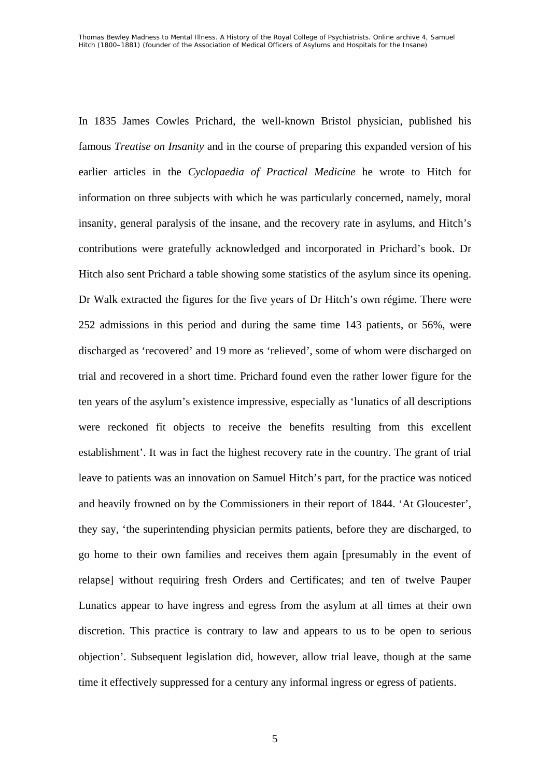In 1835 James Cowles Prichard, the well-known Bristol physician, published his famous *Treatise on Insanity* and in the course of preparing this expanded version of his earlier articles in the *Cyclopaedia of Practical Medicine* he wrote to Hitch for information on three subjects with which he was particularly concerned, namely, moral insanity, general paralysis of the insane, and the recovery rate in asylums, and Hitch's contributions were gratefully acknowledged and incorporated in Prichard's book. Dr Hitch also sent Prichard a table showing some statistics of the asylum since its opening. Dr Walk extracted the figures for the five years of Dr Hitch's own régime. There were 252 admissions in this period and during the same time 143 patients, or 56%, were discharged as 'recovered' and 19 more as 'relieved', some of whom were discharged on trial and recovered in a short time. Prichard found even the rather lower figure for the ten years of the asylum's existence impressive, especially as 'lunatics of all descriptions were reckoned fit objects to receive the benefits resulting from this excellent establishment'. It was in fact the highest recovery rate in the country. The grant of trial leave to patients was an innovation on Samuel Hitch's part, for the practice was noticed and heavily frowned on by the Commissioners in their report of 1844. 'At Gloucester', they say, 'the superintending physician permits patients, before they are discharged, to go home to their own families and receives them again [presumably in the event of relapse] without requiring fresh Orders and Certificates; and ten of twelve Pauper Lunatics appear to have ingress and egress from the asylum at all times at their own discretion. This practice is contrary to law and appears to us to be open to serious objection'. Subsequent legislation did, however, allow trial leave, though at the same time it effectively suppressed for a century any informal ingress or egress of patients.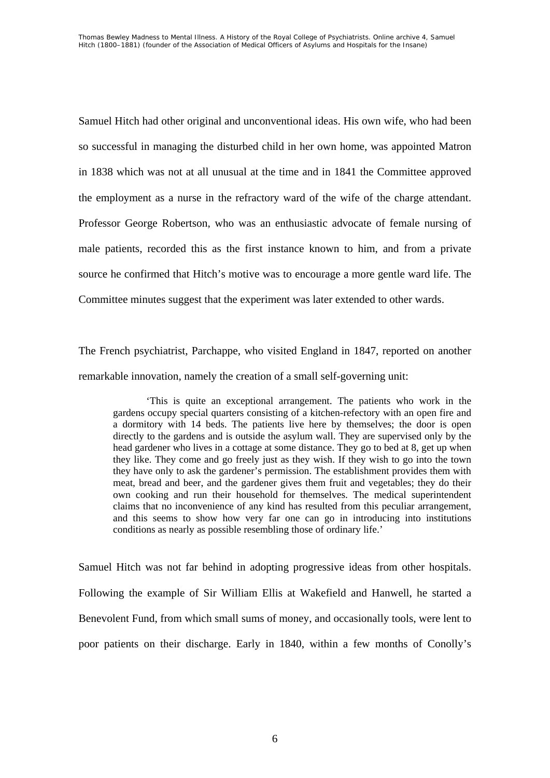Samuel Hitch had other original and unconventional ideas. His own wife, who had been so successful in managing the disturbed child in her own home, was appointed Matron in 1838 which was not at all unusual at the time and in 1841 the Committee approved the employment as a nurse in the refractory ward of the wife of the charge attendant. Professor George Robertson, who was an enthusiastic advocate of female nursing of male patients, recorded this as the first instance known to him, and from a private source he confirmed that Hitch's motive was to encourage a more gentle ward life. The Committee minutes suggest that the experiment was later extended to other wards.

The French psychiatrist, Parchappe, who visited England in 1847, reported on another remarkable innovation, namely the creation of a small self-governing unit:

'This is quite an exceptional arrangement. The patients who work in the gardens occupy special quarters consisting of a kitchen-refectory with an open fire and a dormitory with 14 beds. The patients live here by themselves; the door is open directly to the gardens and is outside the asylum wall. They are supervised only by the head gardener who lives in a cottage at some distance. They go to bed at 8, get up when they like. They come and go freely just as they wish. If they wish to go into the town they have only to ask the gardener's permission. The establishment provides them with meat, bread and beer, and the gardener gives them fruit and vegetables; they do their own cooking and run their household for themselves. The medical superintendent claims that no inconvenience of any kind has resulted from this peculiar arrangement, and this seems to show how very far one can go in introducing into institutions conditions as nearly as possible resembling those of ordinary life.'

Samuel Hitch was not far behind in adopting progressive ideas from other hospitals. Following the example of Sir William Ellis at Wakefield and Hanwell, he started a Benevolent Fund, from which small sums of money, and occasionally tools, were lent to poor patients on their discharge. Early in 1840, within a few months of Conolly's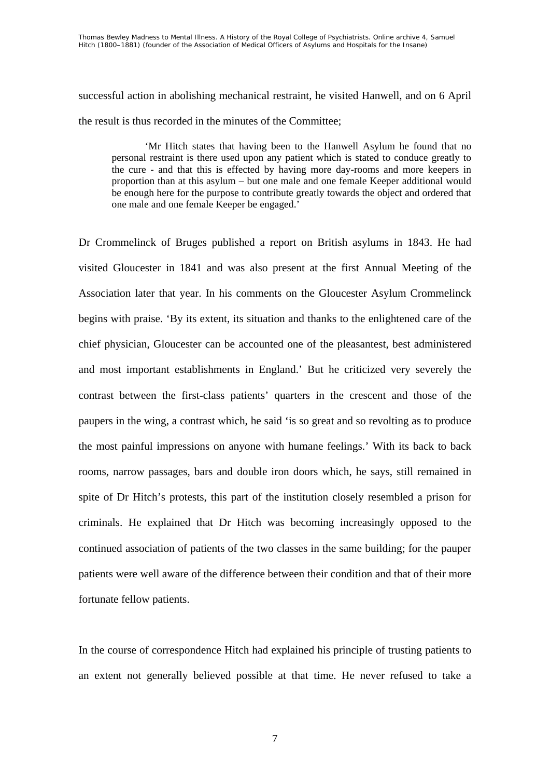successful action in abolishing mechanical restraint, he visited Hanwell, and on 6 April the result is thus recorded in the minutes of the Committee;

'Mr Hitch states that having been to the Hanwell Asylum he found that no personal restraint is there used upon any patient which is stated to conduce greatly to the cure - and that this is effected by having more day-rooms and more keepers in proportion than at this asylum – but one male and one female Keeper additional would be enough here for the purpose to contribute greatly towards the object and ordered that one male and one female Keeper be engaged.'

Dr Crommelinck of Bruges published a report on British asylums in 1843. He had visited Gloucester in 1841 and was also present at the first Annual Meeting of the Association later that year. In his comments on the Gloucester Asylum Crommelinck begins with praise. 'By its extent, its situation and thanks to the enlightened care of the chief physician, Gloucester can be accounted one of the pleasantest, best administered and most important establishments in England.' But he criticized very severely the contrast between the first-class patients' quarters in the crescent and those of the paupers in the wing, a contrast which, he said 'is so great and so revolting as to produce the most painful impressions on anyone with humane feelings.' With its back to back rooms, narrow passages, bars and double iron doors which, he says, still remained in spite of Dr Hitch's protests, this part of the institution closely resembled a prison for criminals. He explained that Dr Hitch was becoming increasingly opposed to the continued association of patients of the two classes in the same building; for the pauper patients were well aware of the difference between their condition and that of their more fortunate fellow patients.

In the course of correspondence Hitch had explained his principle of trusting patients to an extent not generally believed possible at that time. He never refused to take a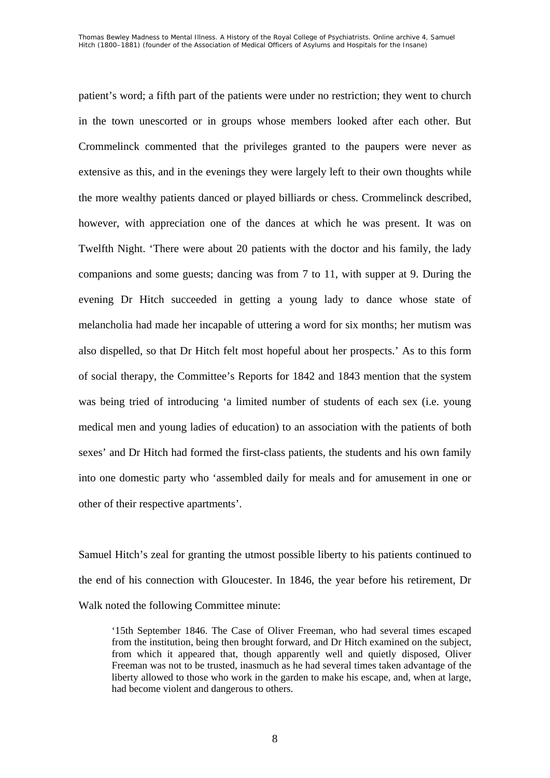patient's word; a fifth part of the patients were under no restriction; they went to church in the town unescorted or in groups whose members looked after each other. But Crommelinck commented that the privileges granted to the paupers were never as extensive as this, and in the evenings they were largely left to their own thoughts while the more wealthy patients danced or played billiards or chess. Crommelinck described, however, with appreciation one of the dances at which he was present. It was on Twelfth Night. 'There were about 20 patients with the doctor and his family, the lady companions and some guests; dancing was from 7 to 11, with supper at 9. During the evening Dr Hitch succeeded in getting a young lady to dance whose state of melancholia had made her incapable of uttering a word for six months; her mutism was also dispelled, so that Dr Hitch felt most hopeful about her prospects.' As to this form of social therapy, the Committee's Reports for 1842 and 1843 mention that the system was being tried of introducing 'a limited number of students of each sex (i.e. young medical men and young ladies of education) to an association with the patients of both sexes' and Dr Hitch had formed the first-class patients, the students and his own family into one domestic party who 'assembled daily for meals and for amusement in one or other of their respective apartments'.

Samuel Hitch's zeal for granting the utmost possible liberty to his patients continued to the end of his connection with Gloucester. In 1846, the year before his retirement, Dr Walk noted the following Committee minute:

'15th September 1846. The Case of Oliver Freeman, who had several times escaped from the institution, being then brought forward, and Dr Hitch examined on the subject, from which it appeared that, though apparently well and quietly disposed, Oliver Freeman was not to be trusted, inasmuch as he had several times taken advantage of the liberty allowed to those who work in the garden to make his escape, and, when at large, had become violent and dangerous to others.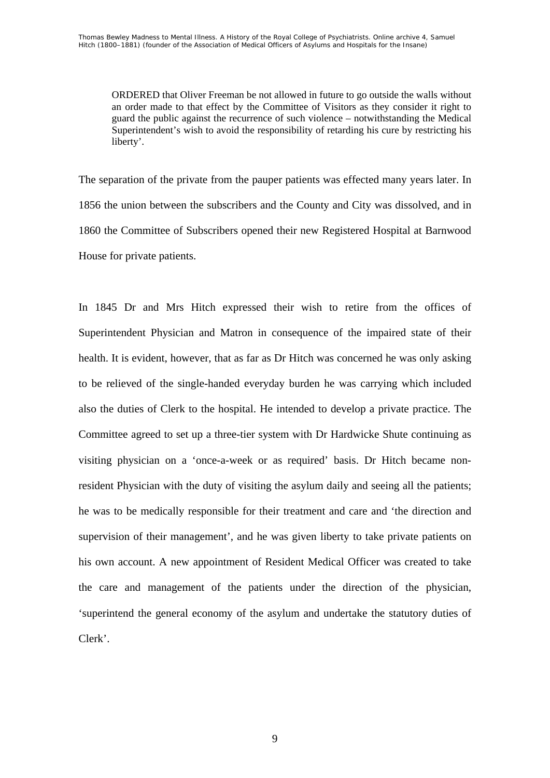ORDERED that Oliver Freeman be not allowed in future to go outside the walls without an order made to that effect by the Committee of Visitors as they consider it right to guard the public against the recurrence of such violence – notwithstanding the Medical Superintendent's wish to avoid the responsibility of retarding his cure by restricting his liberty'.

The separation of the private from the pauper patients was effected many years later. In 1856 the union between the subscribers and the County and City was dissolved, and in 1860 the Committee of Subscribers opened their new Registered Hospital at Barnwood House for private patients.

In 1845 Dr and Mrs Hitch expressed their wish to retire from the offices of Superintendent Physician and Matron in consequence of the impaired state of their health. It is evident, however, that as far as Dr Hitch was concerned he was only asking to be relieved of the single-handed everyday burden he was carrying which included also the duties of Clerk to the hospital. He intended to develop a private practice. The Committee agreed to set up a three-tier system with Dr Hardwicke Shute continuing as visiting physician on a 'once-a-week or as required' basis. Dr Hitch became nonresident Physician with the duty of visiting the asylum daily and seeing all the patients; he was to be medically responsible for their treatment and care and 'the direction and supervision of their management', and he was given liberty to take private patients on his own account. A new appointment of Resident Medical Officer was created to take the care and management of the patients under the direction of the physician, 'superintend the general economy of the asylum and undertake the statutory duties of Clerk'.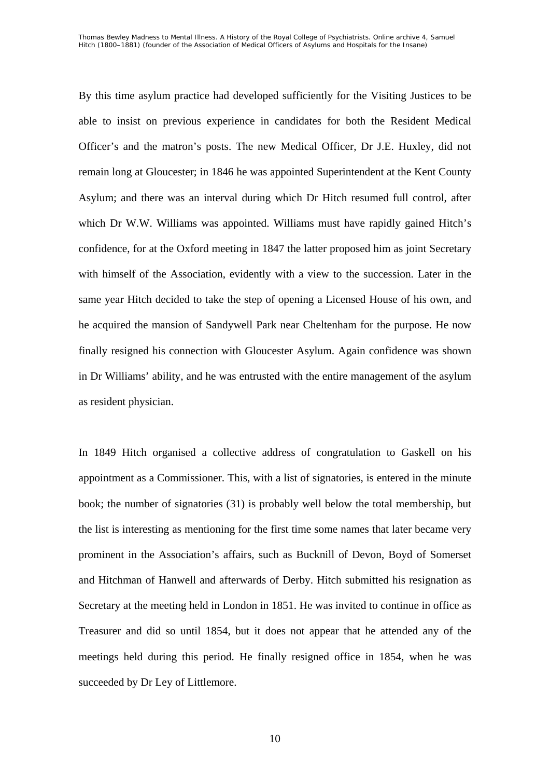By this time asylum practice had developed sufficiently for the Visiting Justices to be able to insist on previous experience in candidates for both the Resident Medical Officer's and the matron's posts. The new Medical Officer, Dr J.E. Huxley, did not remain long at Gloucester; in 1846 he was appointed Superintendent at the Kent County Asylum; and there was an interval during which Dr Hitch resumed full control, after which Dr W.W. Williams was appointed. Williams must have rapidly gained Hitch's confidence, for at the Oxford meeting in 1847 the latter proposed him as joint Secretary with himself of the Association, evidently with a view to the succession. Later in the same year Hitch decided to take the step of opening a Licensed House of his own, and he acquired the mansion of Sandywell Park near Cheltenham for the purpose. He now finally resigned his connection with Gloucester Asylum. Again confidence was shown in Dr Williams' ability, and he was entrusted with the entire management of the asylum as resident physician.

In 1849 Hitch organised a collective address of congratulation to Gaskell on his appointment as a Commissioner. This, with a list of signatories, is entered in the minute book; the number of signatories (31) is probably well below the total membership, but the list is interesting as mentioning for the first time some names that later became very prominent in the Association's affairs, such as Bucknill of Devon, Boyd of Somerset and Hitchman of Hanwell and afterwards of Derby. Hitch submitted his resignation as Secretary at the meeting held in London in 1851. He was invited to continue in office as Treasurer and did so until 1854, but it does not appear that he attended any of the meetings held during this period. He finally resigned office in 1854, when he was succeeded by Dr Ley of Littlemore.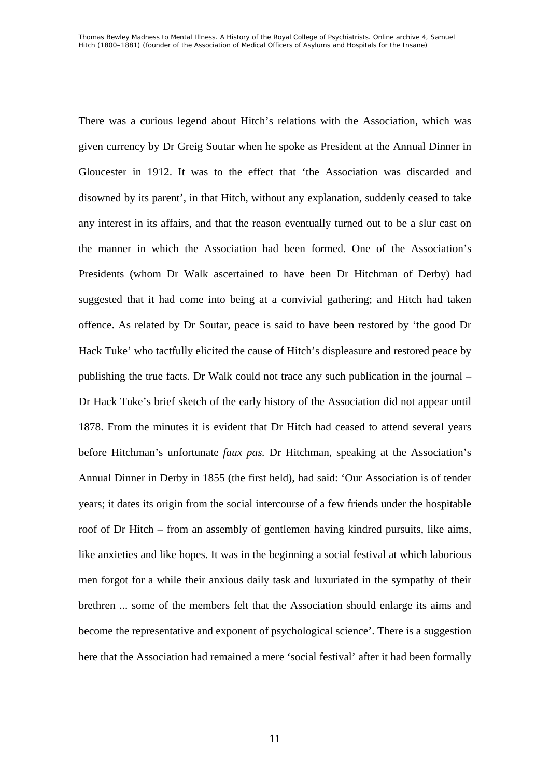There was a curious legend about Hitch's relations with the Association, which was given currency by Dr Greig Soutar when he spoke as President at the Annual Dinner in Gloucester in 1912. It was to the effect that 'the Association was discarded and disowned by its parent', in that Hitch, without any explanation, suddenly ceased to take any interest in its affairs, and that the reason eventually turned out to be a slur cast on the manner in which the Association had been formed. One of the Association's Presidents (whom Dr Walk ascertained to have been Dr Hitchman of Derby) had suggested that it had come into being at a convivial gathering; and Hitch had taken offence. As related by Dr Soutar, peace is said to have been restored by 'the good Dr Hack Tuke' who tactfully elicited the cause of Hitch's displeasure and restored peace by publishing the true facts. Dr Walk could not trace any such publication in the journal – Dr Hack Tuke's brief sketch of the early history of the Association did not appear until 1878. From the minutes it is evident that Dr Hitch had ceased to attend several years before Hitchman's unfortunate *faux pas.* Dr Hitchman, speaking at the Association's Annual Dinner in Derby in 1855 (the first held), had said: 'Our Association is of tender years; it dates its origin from the social intercourse of a few friends under the hospitable roof of Dr Hitch – from an assembly of gentlemen having kindred pursuits, like aims, like anxieties and like hopes. It was in the beginning a social festival at which laborious men forgot for a while their anxious daily task and luxuriated in the sympathy of their brethren ... some of the members felt that the Association should enlarge its aims and become the representative and exponent of psychological science'. There is a suggestion here that the Association had remained a mere 'social festival' after it had been formally